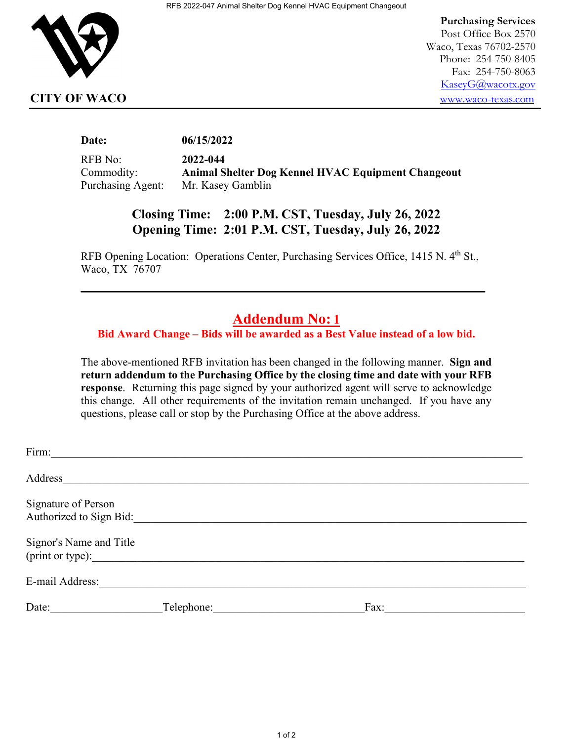

 **Purchasing Services** Post Office Box 2570 Waco, Texas 76702-2570 Phone: 254-750-8405 Fax: 254-750-8063 [KaseyG@wacotx.gov](mailto:KaseyG@wacotx.gov) **CITY OF WACO** [www.waco-texas.com](file://NETAPP/HOMES/JodyC/0%20Purchasing/Utilities/2014/RFB%202014-012%20Generator%20Rebuild/www.waco-texas.com)

**Date: 06/15/2022**

RFB No: **2022-044** Commodity: **Animal Shelter Dog Kennel HVAC Equipment Changeout** Purchasing Agent: Mr. Kasey Gamblin

## **Closing Time: 2:00 P.M. CST, Tuesday, July 26, 2022 Opening Time: 2:01 P.M. CST, Tuesday, July 26, 2022**

RFB Opening Location: Operations Center, Purchasing Services Office, 1415 N. 4<sup>th</sup> St., Waco, TX 76707

**\_\_\_\_\_\_\_\_\_\_\_\_\_\_\_\_\_\_\_\_\_\_\_\_\_\_\_\_\_\_\_\_\_\_\_\_\_\_\_\_\_\_\_\_\_\_\_\_\_\_\_\_\_\_**

## **Addendum No: 1**

**Bid Award Change – Bids will be awarded as a Best Value instead of a low bid.** 

The above-mentioned RFB invitation has been changed in the following manner. **Sign and return addendum to the Purchasing Office by the closing time and date with your RFB response**. Returning this page signed by your authorized agent will serve to acknowledge this change. All other requirements of the invitation remain unchanged. If you have any questions, please call or stop by the Purchasing Office at the above address.

| Firm:                                          |            |      |
|------------------------------------------------|------------|------|
| Address                                        |            |      |
| Signature of Person<br>Authorized to Sign Bid: |            |      |
| Signor's Name and Title<br>(print or type):    |            |      |
| E-mail Address:                                |            |      |
| Date:                                          | Telephone: | Fax: |